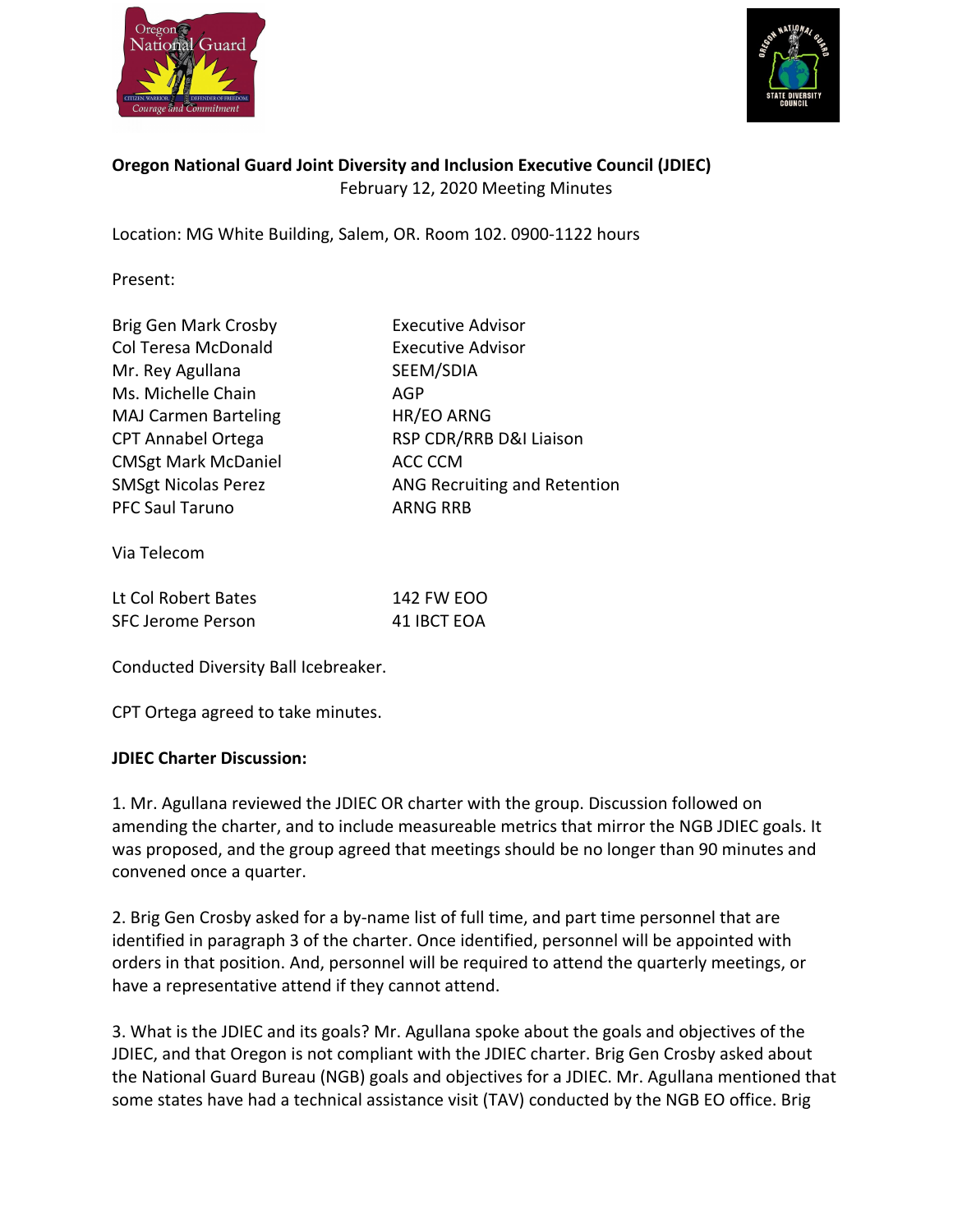



# **Oregon National Guard Joint Diversity and Inclusion Executive Council (JDIEC)**  February 12, 2020 Meeting Minutes

Location: MG White Building, Salem, OR. Room 102. 0900-1122 hours

Present:

| Brig Gen Mark Crosby<br>Col Teresa McDonald<br>Mr. Rey Agullana<br>Ms. Michelle Chain<br><b>MAJ Carmen Barteling</b><br><b>CPT Annabel Ortega</b><br><b>CMSgt Mark McDaniel</b><br><b>SMSgt Nicolas Perez</b> | <b>Executive Advisor</b><br><b>Executive Advisor</b><br>SEEM/SDIA<br>AGP<br>HR/EO ARNG<br>RSP CDR/RRB D&I Liaison<br>ACC CCM<br>ANG Recruiting and Retention |
|---------------------------------------------------------------------------------------------------------------------------------------------------------------------------------------------------------------|--------------------------------------------------------------------------------------------------------------------------------------------------------------|
| <b>PFC Saul Taruno</b>                                                                                                                                                                                        | <b>ARNG RRB</b>                                                                                                                                              |
|                                                                                                                                                                                                               |                                                                                                                                                              |

Via Telecom

| Lt Col Robert Bates | 142 FW EOO  |
|---------------------|-------------|
| SFC Jerome Person   | 41 IBCT EOA |

Conducted Diversity Ball Icebreaker.

CPT Ortega agreed to take minutes.

#### **JDIEC Charter Discussion:**

1. Mr. Agullana reviewed the JDIEC OR charter with the group. Discussion followed on amending the charter, and to include measureable metrics that mirror the NGB JDIEC goals. It was proposed, and the group agreed that meetings should be no longer than 90 minutes and convened once a quarter.

2. Brig Gen Crosby asked for a by-name list of full time, and part time personnel that are identified in paragraph 3 of the charter. Once identified, personnel will be appointed with orders in that position. And, personnel will be required to attend the quarterly meetings, or have a representative attend if they cannot attend.

3. What is the JDIEC and its goals? Mr. Agullana spoke about the goals and objectives of the JDIEC, and that Oregon is not compliant with the JDIEC charter. Brig Gen Crosby asked about the National Guard Bureau (NGB) goals and objectives for a JDIEC. Mr. Agullana mentioned that some states have had a technical assistance visit (TAV) conducted by the NGB EO office. Brig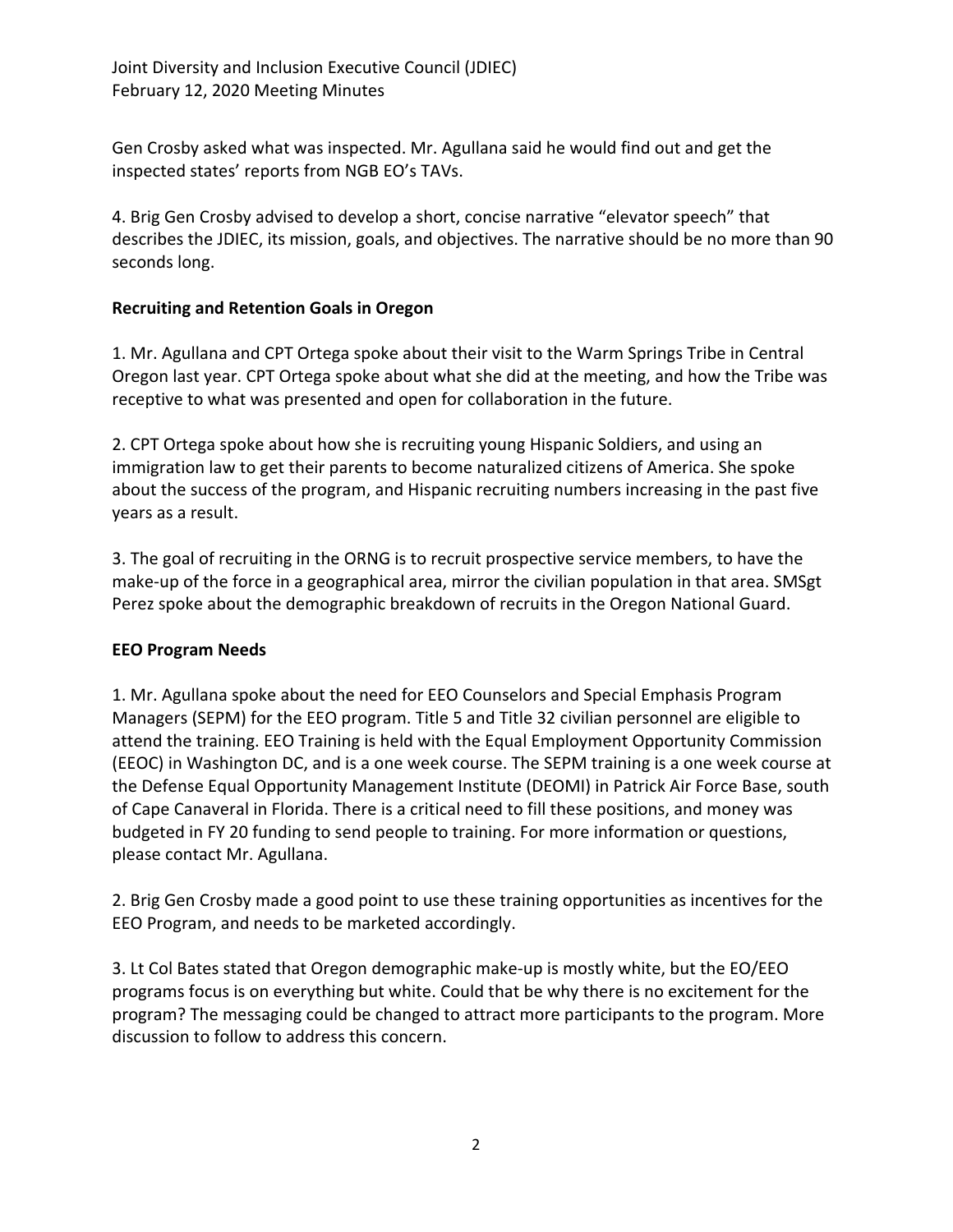Gen Crosby asked what was inspected. Mr. Agullana said he would find out and get the inspected states' reports from NGB EO's TAVs.

4. Brig Gen Crosby advised to develop a short, concise narrative "elevator speech" that describes the JDIEC, its mission, goals, and objectives. The narrative should be no more than 90 seconds long.

## **Recruiting and Retention Goals in Oregon**

1. Mr. Agullana and CPT Ortega spoke about their visit to the Warm Springs Tribe in Central Oregon last year. CPT Ortega spoke about what she did at the meeting, and how the Tribe was receptive to what was presented and open for collaboration in the future.

2. CPT Ortega spoke about how she is recruiting young Hispanic Soldiers, and using an immigration law to get their parents to become naturalized citizens of America. She spoke about the success of the program, and Hispanic recruiting numbers increasing in the past five years as a result.

3. The goal of recruiting in the ORNG is to recruit prospective service members, to have the make-up of the force in a geographical area, mirror the civilian population in that area. SMSgt Perez spoke about the demographic breakdown of recruits in the Oregon National Guard.

## **EEO Program Needs**

1. Mr. Agullana spoke about the need for EEO Counselors and Special Emphasis Program Managers (SEPM) for the EEO program. Title 5 and Title 32 civilian personnel are eligible to attend the training. EEO Training is held with the Equal Employment Opportunity Commission (EEOC) in Washington DC, and is a one week course. The SEPM training is a one week course at the Defense Equal Opportunity Management Institute (DEOMI) in Patrick Air Force Base, south of Cape Canaveral in Florida. There is a critical need to fill these positions, and money was budgeted in FY 20 funding to send people to training. For more information or questions, please contact Mr. Agullana.

2. Brig Gen Crosby made a good point to use these training opportunities as incentives for the EEO Program, and needs to be marketed accordingly.

3. Lt Col Bates stated that Oregon demographic make-up is mostly white, but the EO/EEO programs focus is on everything but white. Could that be why there is no excitement for the program? The messaging could be changed to attract more participants to the program. More discussion to follow to address this concern.